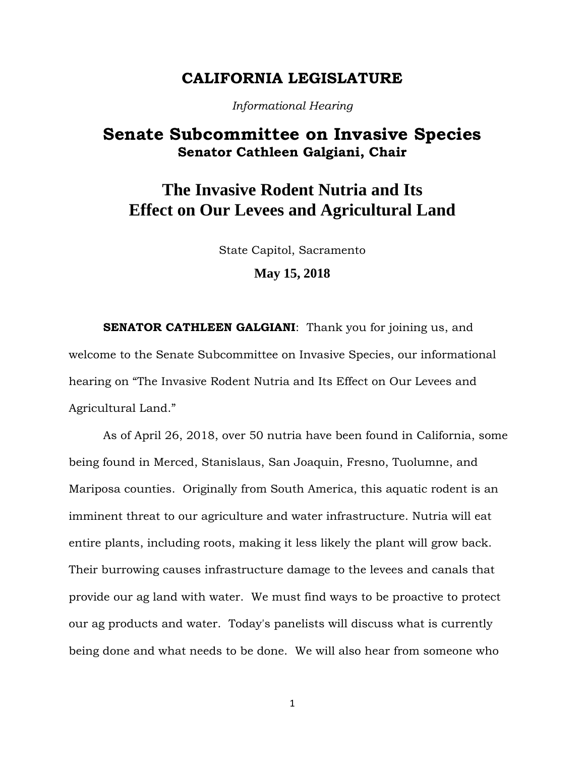### **CALIFORNIA LEGISLATURE**

*Informational Hearing*

## **Senate Subcommittee on Invasive Species Senator Cathleen Galgiani, Chair**

# **The Invasive Rodent Nutria and Its Effect on Our Levees and Agricultural Land**

State Capitol, Sacramento

### **May 15, 2018**

**SENATOR CATHLEEN GALGIANI:** Thank you for joining us, and welcome to the Senate Subcommittee on Invasive Species, our informational hearing on "The Invasive Rodent Nutria and Its Effect on Our Levees and Agricultural Land."

As of April 26, 2018, over 50 nutria have been found in California, some being found in Merced, Stanislaus, San Joaquin, Fresno, Tuolumne, and Mariposa counties. Originally from South America, this aquatic rodent is an imminent threat to our agriculture and water infrastructure. Nutria will eat entire plants, including roots, making it less likely the plant will grow back. Their burrowing causes infrastructure damage to the levees and canals that provide our ag land with water. We must find ways to be proactive to protect our ag products and water. Today's panelists will discuss what is currently being done and what needs to be done. We will also hear from someone who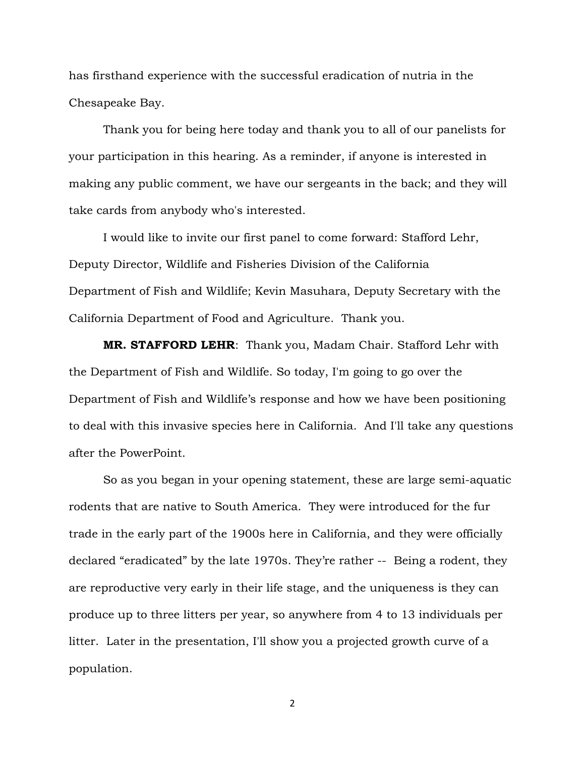has firsthand experience with the successful eradication of nutria in the Chesapeake Bay.

Thank you for being here today and thank you to all of our panelists for your participation in this hearing. As a reminder, if anyone is interested in making any public comment, we have our sergeants in the back; and they will take cards from anybody who's interested.

I would like to invite our first panel to come forward: Stafford Lehr, Deputy Director, Wildlife and Fisheries Division of the California Department of Fish and Wildlife; Kevin Masuhara, Deputy Secretary with the California Department of Food and Agriculture. Thank you.

**MR. STAFFORD LEHR**: Thank you, Madam Chair. Stafford Lehr with the Department of Fish and Wildlife. So today, I'm going to go over the Department of Fish and Wildlife's response and how we have been positioning to deal with this invasive species here in California. And I'll take any questions after the PowerPoint.

So as you began in your opening statement, these are large semi-aquatic rodents that are native to South America. They were introduced for the fur trade in the early part of the 1900s here in California, and they were officially declared "eradicated" by the late 1970s. They're rather -- Being a rodent, they are reproductive very early in their life stage, and the uniqueness is they can produce up to three litters per year, so anywhere from 4 to 13 individuals per litter. Later in the presentation, I'll show you a projected growth curve of a population.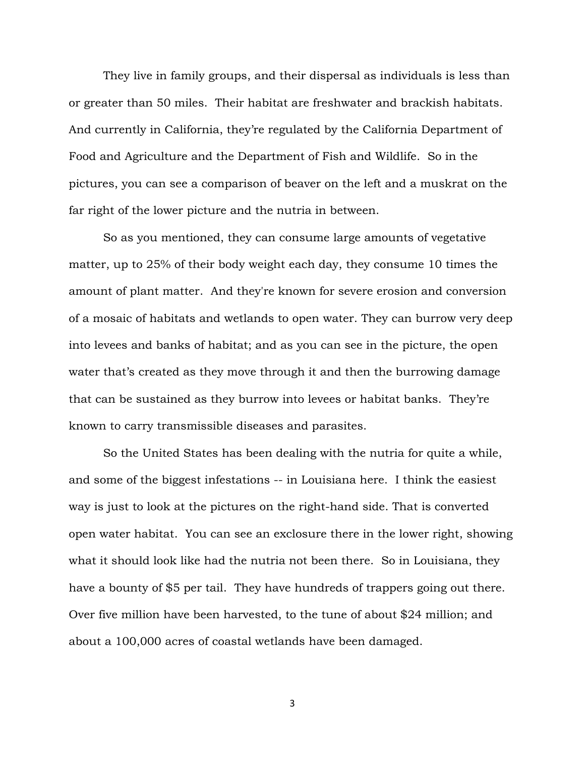They live in family groups, and their dispersal as individuals is less than or greater than 50 miles. Their habitat are freshwater and brackish habitats. And currently in California, they're regulated by the California Department of Food and Agriculture and the Department of Fish and Wildlife. So in the pictures, you can see a comparison of beaver on the left and a muskrat on the far right of the lower picture and the nutria in between.

So as you mentioned, they can consume large amounts of vegetative matter, up to 25% of their body weight each day, they consume 10 times the amount of plant matter. And they're known for severe erosion and conversion of a mosaic of habitats and wetlands to open water. They can burrow very deep into levees and banks of habitat; and as you can see in the picture, the open water that's created as they move through it and then the burrowing damage that can be sustained as they burrow into levees or habitat banks. They're known to carry transmissible diseases and parasites.

So the United States has been dealing with the nutria for quite a while, and some of the biggest infestations -- in Louisiana here. I think the easiest way is just to look at the pictures on the right-hand side. That is converted open water habitat. You can see an exclosure there in the lower right, showing what it should look like had the nutria not been there. So in Louisiana, they have a bounty of \$5 per tail. They have hundreds of trappers going out there. Over five million have been harvested, to the tune of about \$24 million; and about a 100,000 acres of coastal wetlands have been damaged.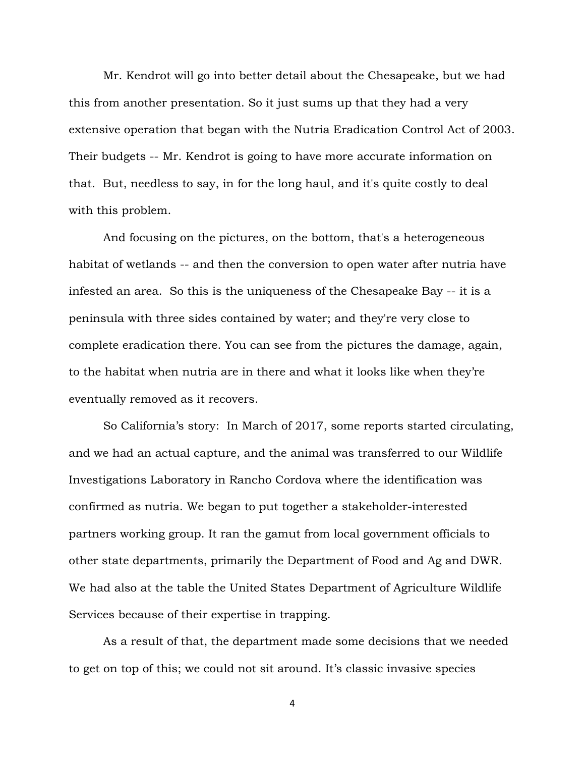Mr. Kendrot will go into better detail about the Chesapeake, but we had this from another presentation. So it just sums up that they had a very extensive operation that began with the Nutria Eradication Control Act of 2003. Their budgets -- Mr. Kendrot is going to have more accurate information on that. But, needless to say, in for the long haul, and it's quite costly to deal with this problem.

And focusing on the pictures, on the bottom, that's a heterogeneous habitat of wetlands -- and then the conversion to open water after nutria have infested an area. So this is the uniqueness of the Chesapeake Bay -- it is a peninsula with three sides contained by water; and they're very close to complete eradication there. You can see from the pictures the damage, again, to the habitat when nutria are in there and what it looks like when they're eventually removed as it recovers.

So California's story: In March of 2017, some reports started circulating, and we had an actual capture, and the animal was transferred to our Wildlife Investigations Laboratory in Rancho Cordova where the identification was confirmed as nutria. We began to put together a stakeholder-interested partners working group. It ran the gamut from local government officials to other state departments, primarily the Department of Food and Ag and DWR. We had also at the table the United States Department of Agriculture Wildlife Services because of their expertise in trapping.

As a result of that, the department made some decisions that we needed to get on top of this; we could not sit around. It's classic invasive species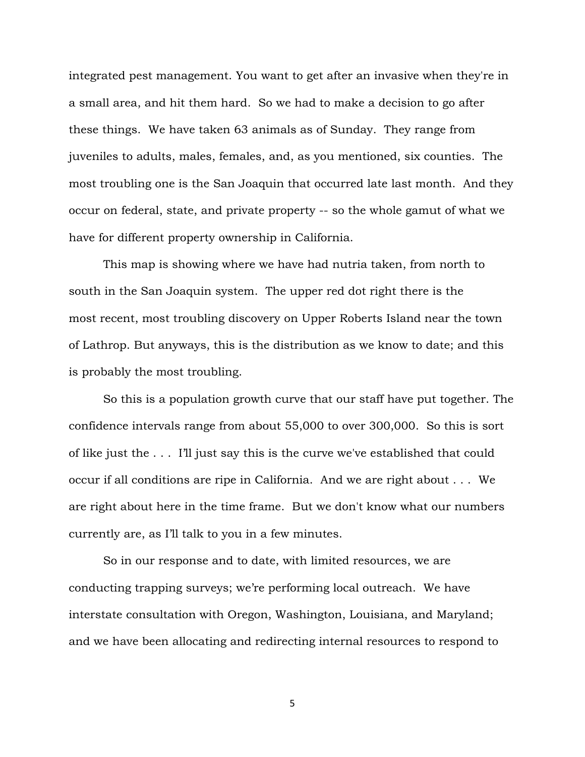integrated pest management. You want to get after an invasive when they're in a small area, and hit them hard. So we had to make a decision to go after these things. We have taken 63 animals as of Sunday. They range from juveniles to adults, males, females, and, as you mentioned, six counties. The most troubling one is the San Joaquin that occurred late last month. And they occur on federal, state, and private property -- so the whole gamut of what we have for different property ownership in California.

This map is showing where we have had nutria taken, from north to south in the San Joaquin system. The upper red dot right there is the most recent, most troubling discovery on Upper Roberts Island near the town of Lathrop. But anyways, this is the distribution as we know to date; and this is probably the most troubling.

So this is a population growth curve that our staff have put together. The confidence intervals range from about 55,000 to over 300,000. So this is sort of like just the . . . I'll just say this is the curve we've established that could occur if all conditions are ripe in California. And we are right about . . . We are right about here in the time frame. But we don't know what our numbers currently are, as I'll talk to you in a few minutes.

So in our response and to date, with limited resources, we are conducting trapping surveys; we're performing local outreach. We have interstate consultation with Oregon, Washington, Louisiana, and Maryland; and we have been allocating and redirecting internal resources to respond to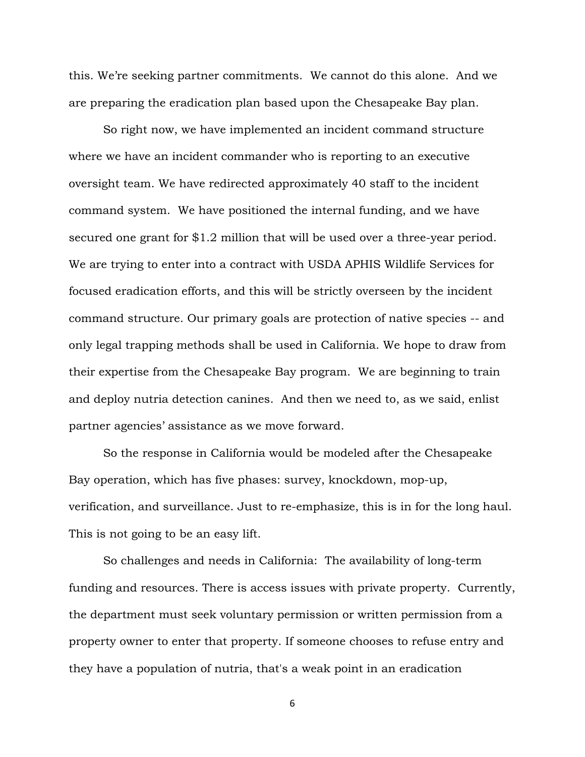this. We're seeking partner commitments. We cannot do this alone. And we are preparing the eradication plan based upon the Chesapeake Bay plan.

So right now, we have implemented an incident command structure where we have an incident commander who is reporting to an executive oversight team. We have redirected approximately 40 staff to the incident command system. We have positioned the internal funding, and we have secured one grant for \$1.2 million that will be used over a three-year period. We are trying to enter into a contract with USDA APHIS Wildlife Services for focused eradication efforts, and this will be strictly overseen by the incident command structure. Our primary goals are protection of native species -- and only legal trapping methods shall be used in California. We hope to draw from their expertise from the Chesapeake Bay program. We are beginning to train and deploy nutria detection canines. And then we need to, as we said, enlist partner agencies' assistance as we move forward.

So the response in California would be modeled after the Chesapeake Bay operation, which has five phases: survey, knockdown, mop-up, verification, and surveillance. Just to re-emphasize, this is in for the long haul. This is not going to be an easy lift.

So challenges and needs in California: The availability of long-term funding and resources. There is access issues with private property. Currently, the department must seek voluntary permission or written permission from a property owner to enter that property. If someone chooses to refuse entry and they have a population of nutria, that's a weak point in an eradication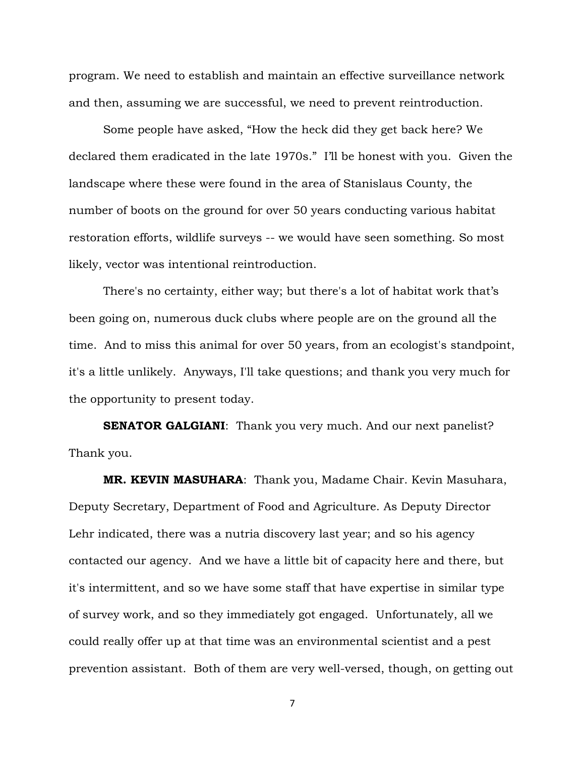program. We need to establish and maintain an effective surveillance network and then, assuming we are successful, we need to prevent reintroduction.

Some people have asked, "How the heck did they get back here? We declared them eradicated in the late 1970s." I'll be honest with you. Given the landscape where these were found in the area of Stanislaus County, the number of boots on the ground for over 50 years conducting various habitat restoration efforts, wildlife surveys -- we would have seen something. So most likely, vector was intentional reintroduction.

There's no certainty, either way; but there's a lot of habitat work that's been going on, numerous duck clubs where people are on the ground all the time. And to miss this animal for over 50 years, from an ecologist's standpoint, it's a little unlikely. Anyways, I'll take questions; and thank you very much for the opportunity to present today.

**SENATOR GALGIANI:** Thank you very much. And our next panelist? Thank you.

**MR. KEVIN MASUHARA**: Thank you, Madame Chair. Kevin Masuhara, Deputy Secretary, Department of Food and Agriculture. As Deputy Director Lehr indicated, there was a nutria discovery last year; and so his agency contacted our agency. And we have a little bit of capacity here and there, but it's intermittent, and so we have some staff that have expertise in similar type of survey work, and so they immediately got engaged. Unfortunately, all we could really offer up at that time was an environmental scientist and a pest prevention assistant. Both of them are very well-versed, though, on getting out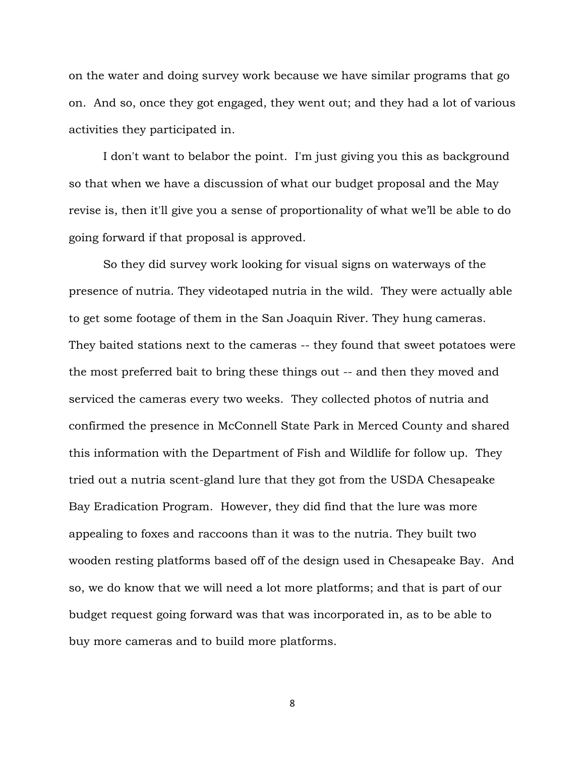on the water and doing survey work because we have similar programs that go on. And so, once they got engaged, they went out; and they had a lot of various activities they participated in.

I don't want to belabor the point. I'm just giving you this as background so that when we have a discussion of what our budget proposal and the May revise is, then it'll give you a sense of proportionality of what we'll be able to do going forward if that proposal is approved.

So they did survey work looking for visual signs on waterways of the presence of nutria. They videotaped nutria in the wild. They were actually able to get some footage of them in the San Joaquin River. They hung cameras. They baited stations next to the cameras -- they found that sweet potatoes were the most preferred bait to bring these things out -- and then they moved and serviced the cameras every two weeks. They collected photos of nutria and confirmed the presence in McConnell State Park in Merced County and shared this information with the Department of Fish and Wildlife for follow up. They tried out a nutria scent-gland lure that they got from the USDA Chesapeake Bay Eradication Program. However, they did find that the lure was more appealing to foxes and raccoons than it was to the nutria. They built two wooden resting platforms based off of the design used in Chesapeake Bay. And so, we do know that we will need a lot more platforms; and that is part of our budget request going forward was that was incorporated in, as to be able to buy more cameras and to build more platforms.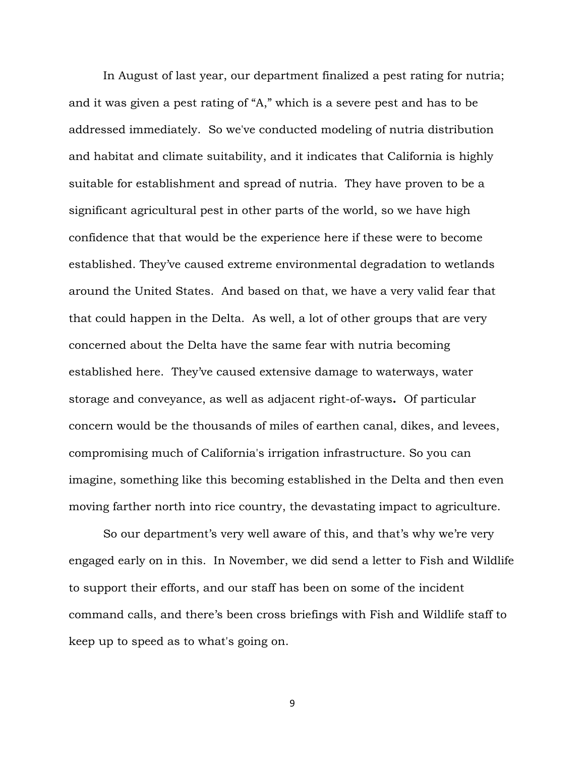In August of last year, our department finalized a pest rating for nutria; and it was given a pest rating of "A," which is a severe pest and has to be addressed immediately. So we've conducted modeling of nutria distribution and habitat and climate suitability, and it indicates that California is highly suitable for establishment and spread of nutria. They have proven to be a significant agricultural pest in other parts of the world, so we have high confidence that that would be the experience here if these were to become established. They've caused extreme environmental degradation to wetlands around the United States. And based on that, we have a very valid fear that that could happen in the Delta. As well, a lot of other groups that are very concerned about the Delta have the same fear with nutria becoming established here. They've caused extensive damage to waterways, water storage and conveyance, as well as adjacent right-of-ways**.** Of particular concern would be the thousands of miles of earthen canal, dikes, and levees, compromising much of California's irrigation infrastructure. So you can imagine, something like this becoming established in the Delta and then even moving farther north into rice country, the devastating impact to agriculture.

So our department's very well aware of this, and that's why we're very engaged early on in this. In November, we did send a letter to Fish and Wildlife to support their efforts, and our staff has been on some of the incident command calls, and there's been cross briefings with Fish and Wildlife staff to keep up to speed as to what's going on.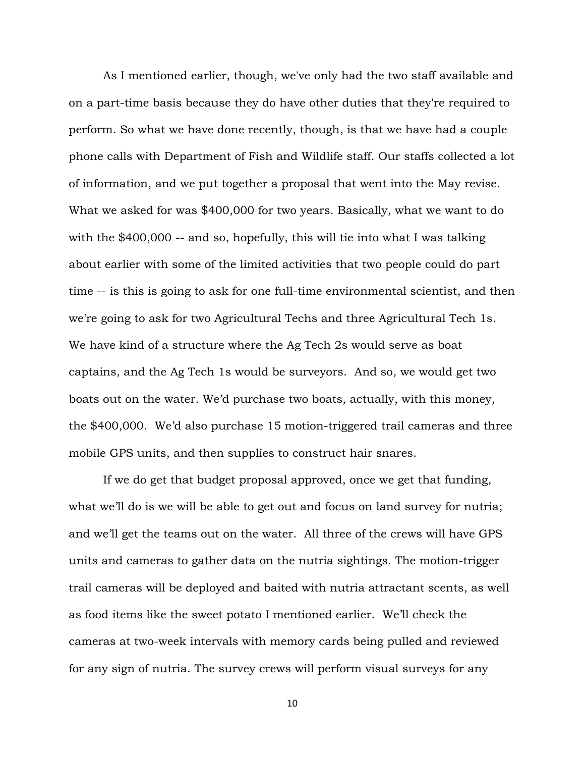As I mentioned earlier, though, we've only had the two staff available and on a part-time basis because they do have other duties that they're required to perform. So what we have done recently, though, is that we have had a couple phone calls with Department of Fish and Wildlife staff. Our staffs collected a lot of information, and we put together a proposal that went into the May revise. What we asked for was \$400,000 for two years. Basically, what we want to do with the \$400,000 -- and so, hopefully, this will tie into what I was talking about earlier with some of the limited activities that two people could do part time -- is this is going to ask for one full-time environmental scientist, and then we're going to ask for two Agricultural Techs and three Agricultural Tech 1s. We have kind of a structure where the Ag Tech 2s would serve as boat captains, and the Ag Tech 1s would be surveyors. And so, we would get two boats out on the water. We'd purchase two boats, actually, with this money, the \$400,000. We'd also purchase 15 motion-triggered trail cameras and three mobile GPS units, and then supplies to construct hair snares.

If we do get that budget proposal approved, once we get that funding, what we'll do is we will be able to get out and focus on land survey for nutria; and we'll get the teams out on the water. All three of the crews will have GPS units and cameras to gather data on the nutria sightings. The motion-trigger trail cameras will be deployed and baited with nutria attractant scents, as well as food items like the sweet potato I mentioned earlier. We'll check the cameras at two-week intervals with memory cards being pulled and reviewed for any sign of nutria. The survey crews will perform visual surveys for any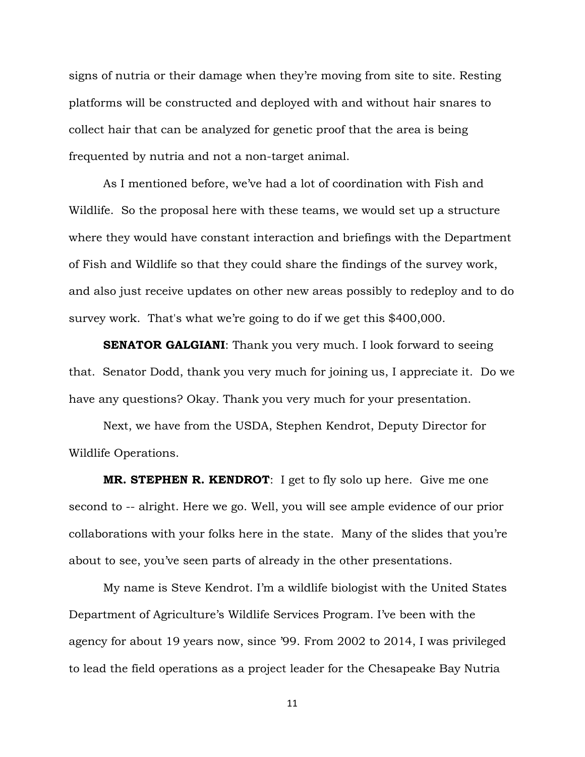signs of nutria or their damage when they're moving from site to site. Resting platforms will be constructed and deployed with and without hair snares to collect hair that can be analyzed for genetic proof that the area is being frequented by nutria and not a non-target animal.

As I mentioned before, we've had a lot of coordination with Fish and Wildlife. So the proposal here with these teams, we would set up a structure where they would have constant interaction and briefings with the Department of Fish and Wildlife so that they could share the findings of the survey work, and also just receive updates on other new areas possibly to redeploy and to do survey work. That's what we're going to do if we get this \$400,000.

**SENATOR GALGIANI:** Thank you very much. I look forward to seeing that. Senator Dodd, thank you very much for joining us, I appreciate it. Do we have any questions? Okay. Thank you very much for your presentation.

Next, we have from the USDA, Stephen Kendrot, Deputy Director for Wildlife Operations.

**MR. STEPHEN R. KENDROT**: I get to fly solo up here. Give me one second to -- alright. Here we go. Well, you will see ample evidence of our prior collaborations with your folks here in the state. Many of the slides that you're about to see, you've seen parts of already in the other presentations.

My name is Steve Kendrot. I'm a wildlife biologist with the United States Department of Agriculture's Wildlife Services Program. I've been with the agency for about 19 years now, since '99. From 2002 to 2014, I was privileged to lead the field operations as a project leader for the Chesapeake Bay Nutria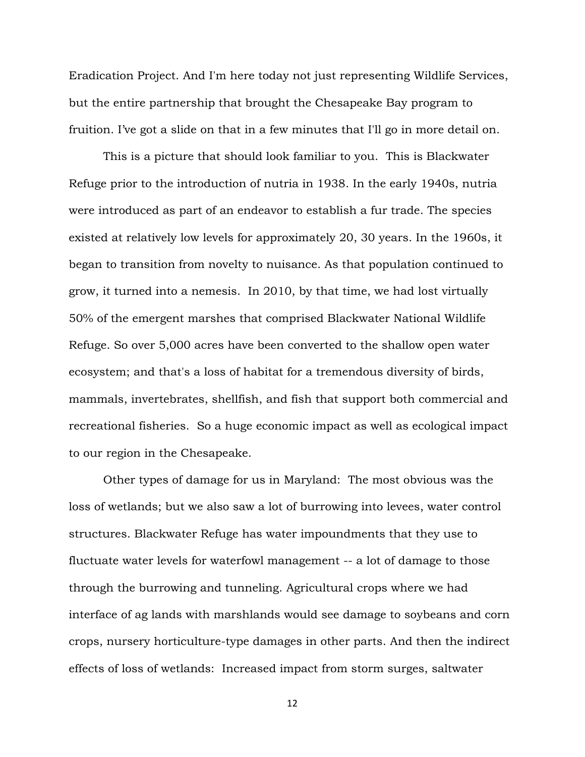Eradication Project. And I'm here today not just representing Wildlife Services, but the entire partnership that brought the Chesapeake Bay program to fruition. I've got a slide on that in a few minutes that I'll go in more detail on.

This is a picture that should look familiar to you. This is Blackwater Refuge prior to the introduction of nutria in 1938. In the early 1940s, nutria were introduced as part of an endeavor to establish a fur trade. The species existed at relatively low levels for approximately 20, 30 years. In the 1960s, it began to transition from novelty to nuisance. As that population continued to grow, it turned into a nemesis. In 2010, by that time, we had lost virtually 50% of the emergent marshes that comprised Blackwater National Wildlife Refuge. So over 5,000 acres have been converted to the shallow open water ecosystem; and that's a loss of habitat for a tremendous diversity of birds, mammals, invertebrates, shellfish, and fish that support both commercial and recreational fisheries. So a huge economic impact as well as ecological impact to our region in the Chesapeake.

Other types of damage for us in Maryland: The most obvious was the loss of wetlands; but we also saw a lot of burrowing into levees, water control structures. Blackwater Refuge has water impoundments that they use to fluctuate water levels for waterfowl management -- a lot of damage to those through the burrowing and tunneling. Agricultural crops where we had interface of ag lands with marshlands would see damage to soybeans and corn crops, nursery horticulture-type damages in other parts. And then the indirect effects of loss of wetlands: Increased impact from storm surges, saltwater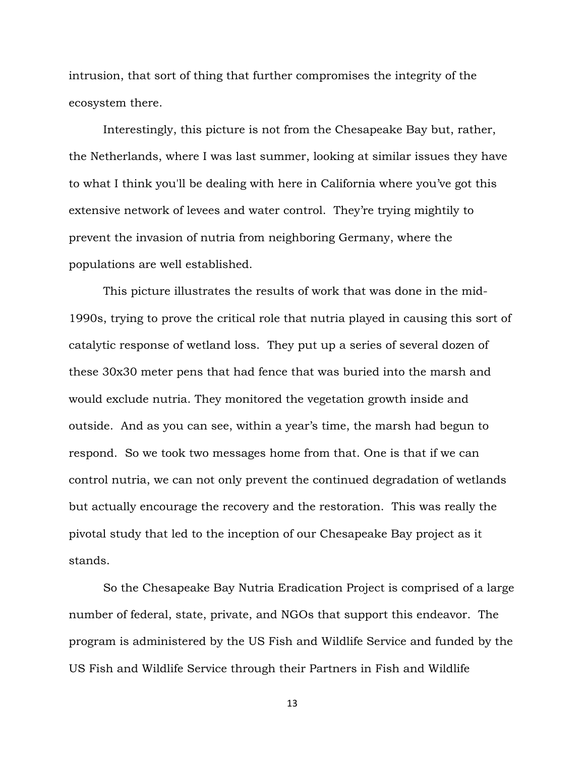intrusion, that sort of thing that further compromises the integrity of the ecosystem there.

Interestingly, this picture is not from the Chesapeake Bay but, rather, the Netherlands, where I was last summer, looking at similar issues they have to what I think you'll be dealing with here in California where you've got this extensive network of levees and water control. They're trying mightily to prevent the invasion of nutria from neighboring Germany, where the populations are well established.

This picture illustrates the results of work that was done in the mid-1990s, trying to prove the critical role that nutria played in causing this sort of catalytic response of wetland loss. They put up a series of several dozen of these 30x30 meter pens that had fence that was buried into the marsh and would exclude nutria. They monitored the vegetation growth inside and outside. And as you can see, within a year's time, the marsh had begun to respond. So we took two messages home from that. One is that if we can control nutria, we can not only prevent the continued degradation of wetlands but actually encourage the recovery and the restoration. This was really the pivotal study that led to the inception of our Chesapeake Bay project as it stands.

So the Chesapeake Bay Nutria Eradication Project is comprised of a large number of federal, state, private, and NGOs that support this endeavor. The program is administered by the US Fish and Wildlife Service and funded by the US Fish and Wildlife Service through their Partners in Fish and Wildlife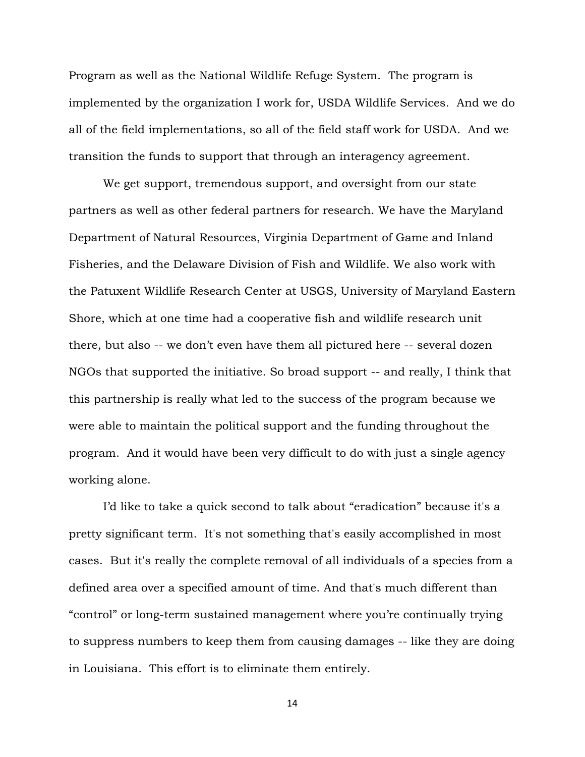Program as well as the National Wildlife Refuge System. The program is implemented by the organization I work for, USDA Wildlife Services. And we do all of the field implementations, so all of the field staff work for USDA. And we transition the funds to support that through an interagency agreement.

We get support, tremendous support, and oversight from our state partners as well as other federal partners for research. We have the Maryland Department of Natural Resources, Virginia Department of Game and Inland Fisheries, and the Delaware Division of Fish and Wildlife. We also work with the Patuxent Wildlife Research Center at USGS, University of Maryland Eastern Shore, which at one time had a cooperative fish and wildlife research unit there, but also -- we don't even have them all pictured here -- several dozen NGOs that supported the initiative. So broad support -- and really, I think that this partnership is really what led to the success of the program because we were able to maintain the political support and the funding throughout the program. And it would have been very difficult to do with just a single agency working alone.

I'd like to take a quick second to talk about "eradication" because it's a pretty significant term. It's not something that's easily accomplished in most cases. But it's really the complete removal of all individuals of a species from a defined area over a specified amount of time. And that's much different than "control" or long-term sustained management where you're continually trying to suppress numbers to keep them from causing damages -- like they are doing in Louisiana. This effort is to eliminate them entirely.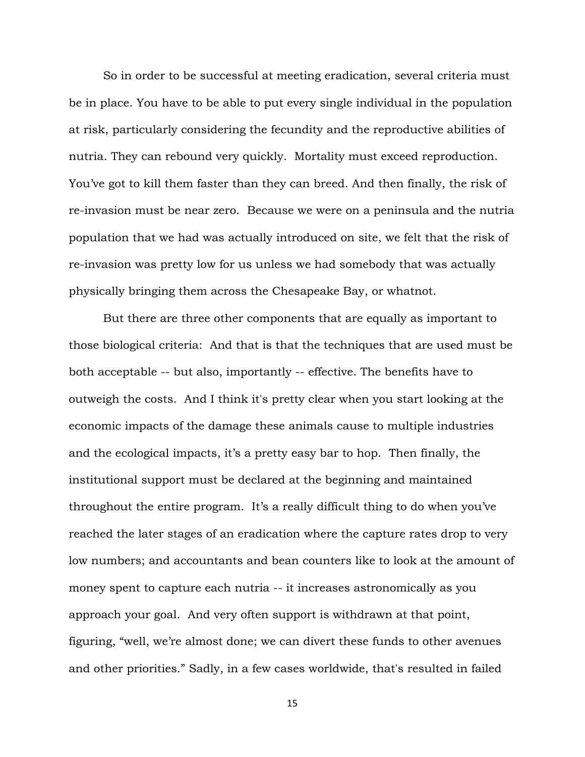So in order to be successful at meeting eradication, several criteria must be in place. You have to be able to put every single individual in the population at risk, particularly considering the fecundity and the reproductive abilities of nutria. They can rebound very quickly. Mortality must exceed reproduction. You've got to kill them faster than they can breed. And then finally, the risk of re-invasion must be near zero. Because we were on a peninsula and the nutria population that we had was actually introduced on site, we felt that the risk of re-invasion was pretty low for us unless we had somebody that was actually physically bringing them across the Chesapeake Bay, or whatnot.

But there are three other components that are equally as important to those biological criteria: And that is that the techniques that are used must be both acceptable -- but also, importantly -- effective. The benefits have to outweigh the costs. And I think it's pretty clear when you start looking at the economic impacts of the damage these animals cause to multiple industries and the ecological impacts, it's a pretty easy bar to hop. Then finally, the institutional support must be declared at the beginning and maintained throughout the entire program. It's a really difficult thing to do when you've reached the later stages of an eradication where the capture rates drop to very low numbers; and accountants and bean counters like to look at the amount of money spent to capture each nutria -- it increases astronomically as you approach your goal. And very often support is withdrawn at that point, figuring, "well, we're almost done; we can divert these funds to other avenues and other priorities." Sadly, in a few cases worldwide, that's resulted in failed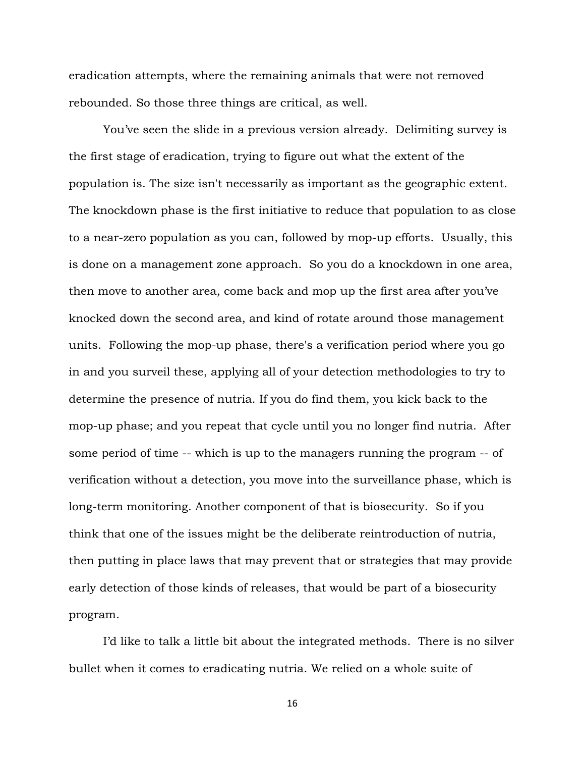eradication attempts, where the remaining animals that were not removed rebounded. So those three things are critical, as well.

You've seen the slide in a previous version already. Delimiting survey is the first stage of eradication, trying to figure out what the extent of the population is. The size isn't necessarily as important as the geographic extent. The knockdown phase is the first initiative to reduce that population to as close to a near-zero population as you can, followed by mop-up efforts. Usually, this is done on a management zone approach. So you do a knockdown in one area, then move to another area, come back and mop up the first area after you've knocked down the second area, and kind of rotate around those management units. Following the mop-up phase, there's a verification period where you go in and you surveil these, applying all of your detection methodologies to try to determine the presence of nutria. If you do find them, you kick back to the mop-up phase; and you repeat that cycle until you no longer find nutria. After some period of time -- which is up to the managers running the program -- of verification without a detection, you move into the surveillance phase, which is long-term monitoring. Another component of that is biosecurity. So if you think that one of the issues might be the deliberate reintroduction of nutria, then putting in place laws that may prevent that or strategies that may provide early detection of those kinds of releases, that would be part of a biosecurity program.

I'd like to talk a little bit about the integrated methods. There is no silver bullet when it comes to eradicating nutria. We relied on a whole suite of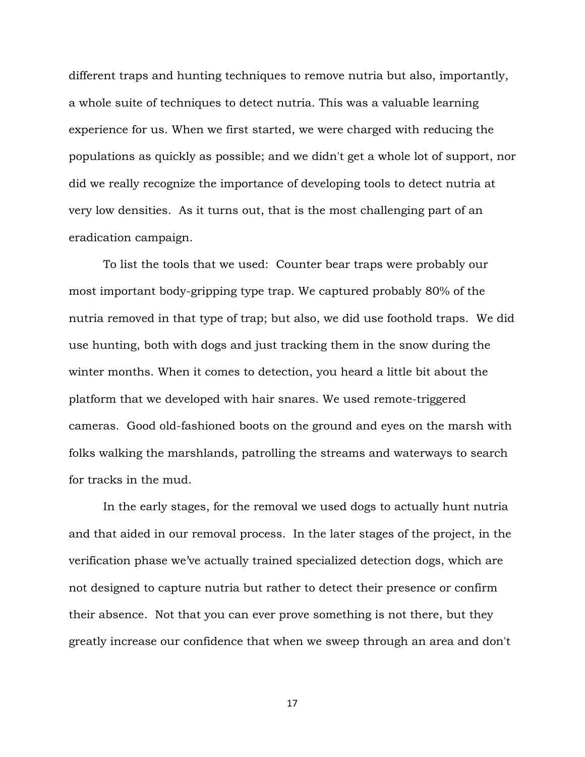different traps and hunting techniques to remove nutria but also, importantly, a whole suite of techniques to detect nutria. This was a valuable learning experience for us. When we first started, we were charged with reducing the populations as quickly as possible; and we didn't get a whole lot of support, nor did we really recognize the importance of developing tools to detect nutria at very low densities. As it turns out, that is the most challenging part of an eradication campaign.

To list the tools that we used: Counter bear traps were probably our most important body-gripping type trap. We captured probably 80% of the nutria removed in that type of trap; but also, we did use foothold traps. We did use hunting, both with dogs and just tracking them in the snow during the winter months. When it comes to detection, you heard a little bit about the platform that we developed with hair snares. We used remote-triggered cameras. Good old-fashioned boots on the ground and eyes on the marsh with folks walking the marshlands, patrolling the streams and waterways to search for tracks in the mud.

In the early stages, for the removal we used dogs to actually hunt nutria and that aided in our removal process. In the later stages of the project, in the verification phase we've actually trained specialized detection dogs, which are not designed to capture nutria but rather to detect their presence or confirm their absence. Not that you can ever prove something is not there, but they greatly increase our confidence that when we sweep through an area and don't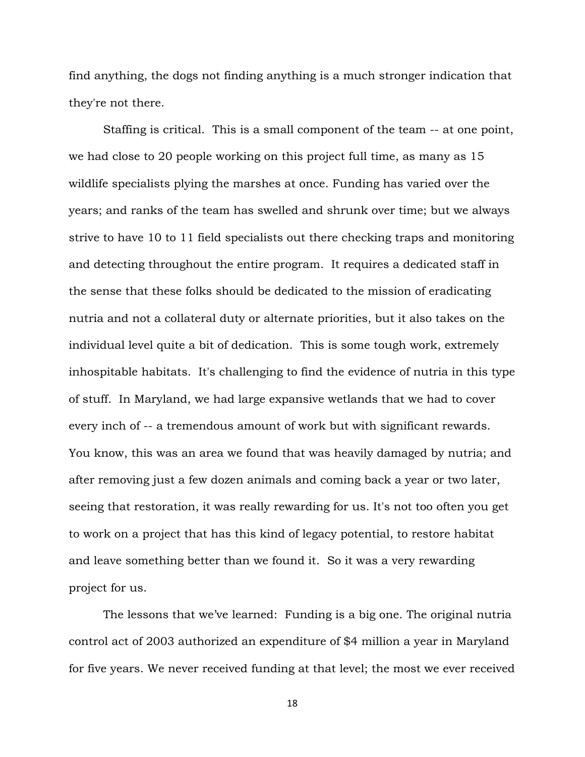find anything, the dogs not finding anything is a much stronger indication that they're not there.

Staffing is critical. This is a small component of the team -- at one point, we had close to 20 people working on this project full time, as many as 15 wildlife specialists plying the marshes at once. Funding has varied over the years; and ranks of the team has swelled and shrunk over time; but we always strive to have 10 to 11 field specialists out there checking traps and monitoring and detecting throughout the entire program. It requires a dedicated staff in the sense that these folks should be dedicated to the mission of eradicating nutria and not a collateral duty or alternate priorities, but it also takes on the individual level quite a bit of dedication. This is some tough work, extremely inhospitable habitats. It's challenging to find the evidence of nutria in this type of stuff. In Maryland, we had large expansive wetlands that we had to cover every inch of -- a tremendous amount of work but with significant rewards. You know, this was an area we found that was heavily damaged by nutria; and after removing just a few dozen animals and coming back a year or two later, seeing that restoration, it was really rewarding for us. It's not too often you get to work on a project that has this kind of legacy potential, to restore habitat and leave something better than we found it. So it was a very rewarding project for us.

The lessons that we've learned: Funding is a big one. The original nutria control act of 2003 authorized an expenditure of \$4 million a year in Maryland for five years. We never received funding at that level; the most we ever received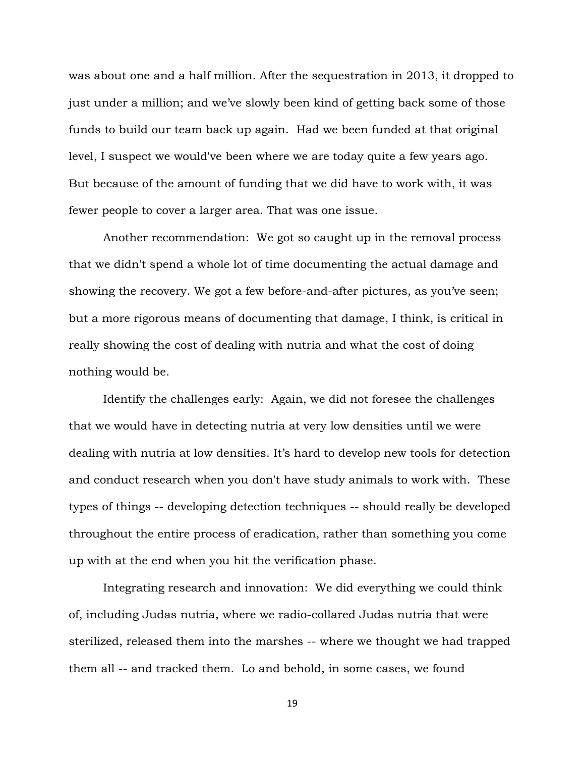was about one and a half million. After the sequestration in 2013, it dropped to just under a million; and we've slowly been kind of getting back some of those funds to build our team back up again. Had we been funded at that original level, I suspect we would've been where we are today quite a few years ago. But because of the amount of funding that we did have to work with, it was fewer people to cover a larger area. That was one issue.

Another recommendation: We got so caught up in the removal process that we didn't spend a whole lot of time documenting the actual damage and showing the recovery. We got a few before-and-after pictures, as you've seen; but a more rigorous means of documenting that damage, I think, is critical in really showing the cost of dealing with nutria and what the cost of doing nothing would be.

Identify the challenges early: Again, we did not foresee the challenges that we would have in detecting nutria at very low densities until we were dealing with nutria at low densities. It's hard to develop new tools for detection and conduct research when you don't have study animals to work with. These types of things -- developing detection techniques -- should really be developed throughout the entire process of eradication, rather than something you come up with at the end when you hit the verification phase.

Integrating research and innovation: We did everything we could think of, including Judas nutria, where we radio-collared Judas nutria that were sterilized, released them into the marshes -- where we thought we had trapped them all -- and tracked them. Lo and behold, in some cases, we found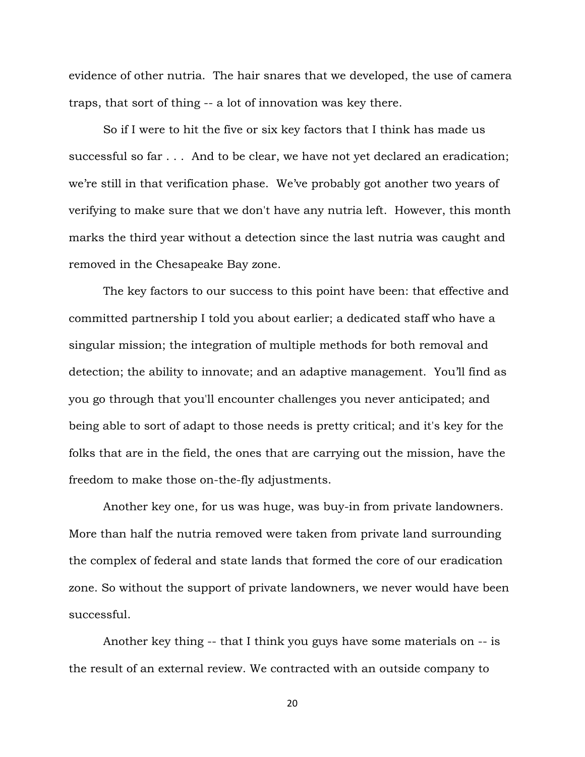evidence of other nutria. The hair snares that we developed, the use of camera traps, that sort of thing -- a lot of innovation was key there.

So if I were to hit the five or six key factors that I think has made us successful so far . . . And to be clear, we have not yet declared an eradication; we're still in that verification phase. We've probably got another two years of verifying to make sure that we don't have any nutria left. However, this month marks the third year without a detection since the last nutria was caught and removed in the Chesapeake Bay zone.

The key factors to our success to this point have been: that effective and committed partnership I told you about earlier; a dedicated staff who have a singular mission; the integration of multiple methods for both removal and detection; the ability to innovate; and an adaptive management. You'll find as you go through that you'll encounter challenges you never anticipated; and being able to sort of adapt to those needs is pretty critical; and it's key for the folks that are in the field, the ones that are carrying out the mission, have the freedom to make those on-the-fly adjustments.

Another key one, for us was huge, was buy-in from private landowners. More than half the nutria removed were taken from private land surrounding the complex of federal and state lands that formed the core of our eradication zone. So without the support of private landowners, we never would have been successful.

Another key thing -- that I think you guys have some materials on -- is the result of an external review. We contracted with an outside company to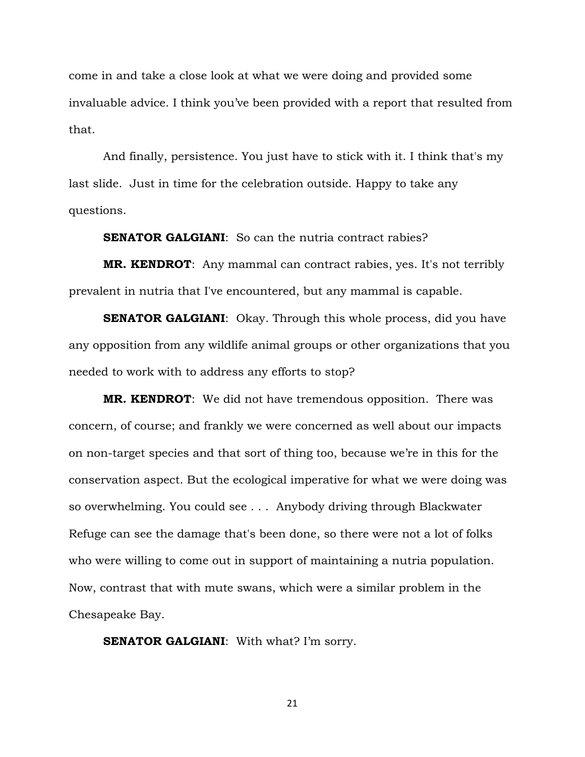come in and take a close look at what we were doing and provided some invaluable advice. I think you've been provided with a report that resulted from that.

And finally, persistence. You just have to stick with it. I think that's my last slide. Just in time for the celebration outside. Happy to take any questions.

**SENATOR GALGIANI:** So can the nutria contract rabies?

**MR. KENDROT**: Any mammal can contract rabies, yes. It's not terribly prevalent in nutria that I've encountered, but any mammal is capable.

**SENATOR GALGIANI:** Okay. Through this whole process, did you have any opposition from any wildlife animal groups or other organizations that you needed to work with to address any efforts to stop?

**MR. KENDROT**: We did not have tremendous opposition. There was concern, of course; and frankly we were concerned as well about our impacts on non-target species and that sort of thing too, because we're in this for the conservation aspect. But the ecological imperative for what we were doing was so overwhelming. You could see . . . Anybody driving through Blackwater Refuge can see the damage that's been done, so there were not a lot of folks who were willing to come out in support of maintaining a nutria population. Now, contrast that with mute swans, which were a similar problem in the Chesapeake Bay.

**SENATOR GALGIANI:** With what? I'm sorry.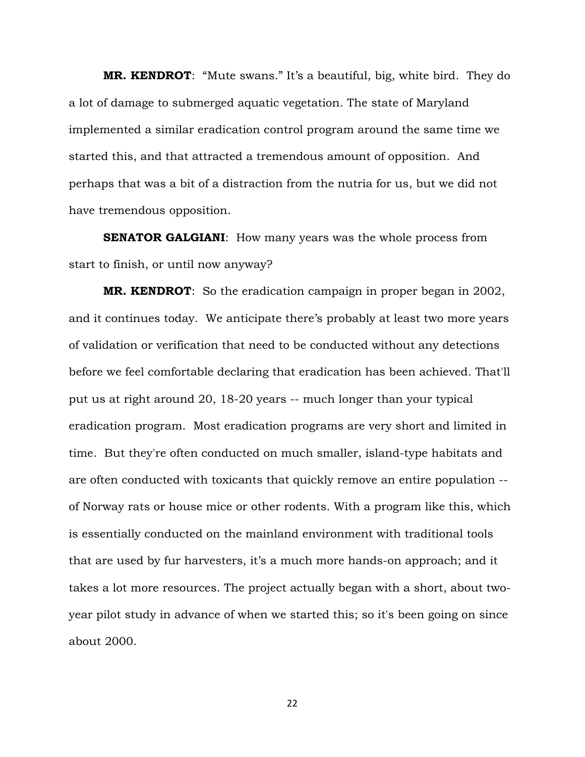**MR. KENDROT**: "Mute swans." It's a beautiful, big, white bird. They do a lot of damage to submerged aquatic vegetation. The state of Maryland implemented a similar eradication control program around the same time we started this, and that attracted a tremendous amount of opposition. And perhaps that was a bit of a distraction from the nutria for us, but we did not have tremendous opposition.

**SENATOR GALGIANI:** How many years was the whole process from start to finish, or until now anyway?

**MR. KENDROT**: So the eradication campaign in proper began in 2002, and it continues today. We anticipate there's probably at least two more years of validation or verification that need to be conducted without any detections before we feel comfortable declaring that eradication has been achieved. That'll put us at right around 20, 18-20 years -- much longer than your typical eradication program. Most eradication programs are very short and limited in time. But they're often conducted on much smaller, island-type habitats and are often conducted with toxicants that quickly remove an entire population - of Norway rats or house mice or other rodents. With a program like this, which is essentially conducted on the mainland environment with traditional tools that are used by fur harvesters, it's a much more hands-on approach; and it takes a lot more resources. The project actually began with a short, about twoyear pilot study in advance of when we started this; so it's been going on since about 2000.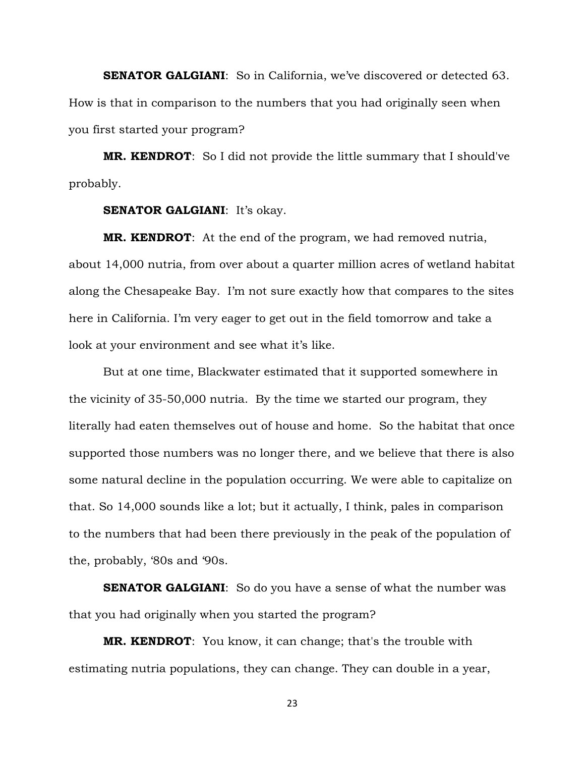**SENATOR GALGIANI:** So in California, we've discovered or detected 63. How is that in comparison to the numbers that you had originally seen when you first started your program?

**MR. KENDROT**: So I did not provide the little summary that I should've probably.

#### **SENATOR GALGIANI:** It's okay.

**MR. KENDROT**: At the end of the program, we had removed nutria, about 14,000 nutria, from over about a quarter million acres of wetland habitat along the Chesapeake Bay. I'm not sure exactly how that compares to the sites here in California. I'm very eager to get out in the field tomorrow and take a look at your environment and see what it's like.

But at one time, Blackwater estimated that it supported somewhere in the vicinity of 35-50,000 nutria. By the time we started our program, they literally had eaten themselves out of house and home. So the habitat that once supported those numbers was no longer there, and we believe that there is also some natural decline in the population occurring. We were able to capitalize on that. So 14,000 sounds like a lot; but it actually, I think, pales in comparison to the numbers that had been there previously in the peak of the population of the, probably, '80s and '90s.

**SENATOR GALGIANI:** So do you have a sense of what the number was that you had originally when you started the program?

**MR. KENDROT**: You know, it can change; that's the trouble with estimating nutria populations, they can change. They can double in a year,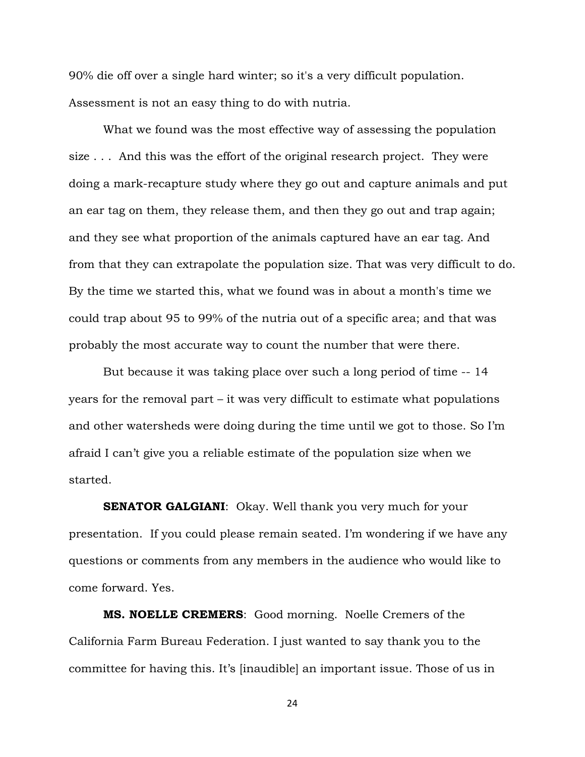90% die off over a single hard winter; so it's a very difficult population. Assessment is not an easy thing to do with nutria.

What we found was the most effective way of assessing the population size . . . And this was the effort of the original research project. They were doing a mark-recapture study where they go out and capture animals and put an ear tag on them, they release them, and then they go out and trap again; and they see what proportion of the animals captured have an ear tag. And from that they can extrapolate the population size. That was very difficult to do. By the time we started this, what we found was in about a month's time we could trap about 95 to 99% of the nutria out of a specific area; and that was probably the most accurate way to count the number that were there.

But because it was taking place over such a long period of time -- 14 years for the removal part – it was very difficult to estimate what populations and other watersheds were doing during the time until we got to those. So I'm afraid I can't give you a reliable estimate of the population size when we started.

**SENATOR GALGIANI:** Okay. Well thank you very much for your presentation. If you could please remain seated. I'm wondering if we have any questions or comments from any members in the audience who would like to come forward. Yes.

**MS. NOELLE CREMERS**: Good morning. Noelle Cremers of the California Farm Bureau Federation. I just wanted to say thank you to the committee for having this. It's [inaudible] an important issue. Those of us in